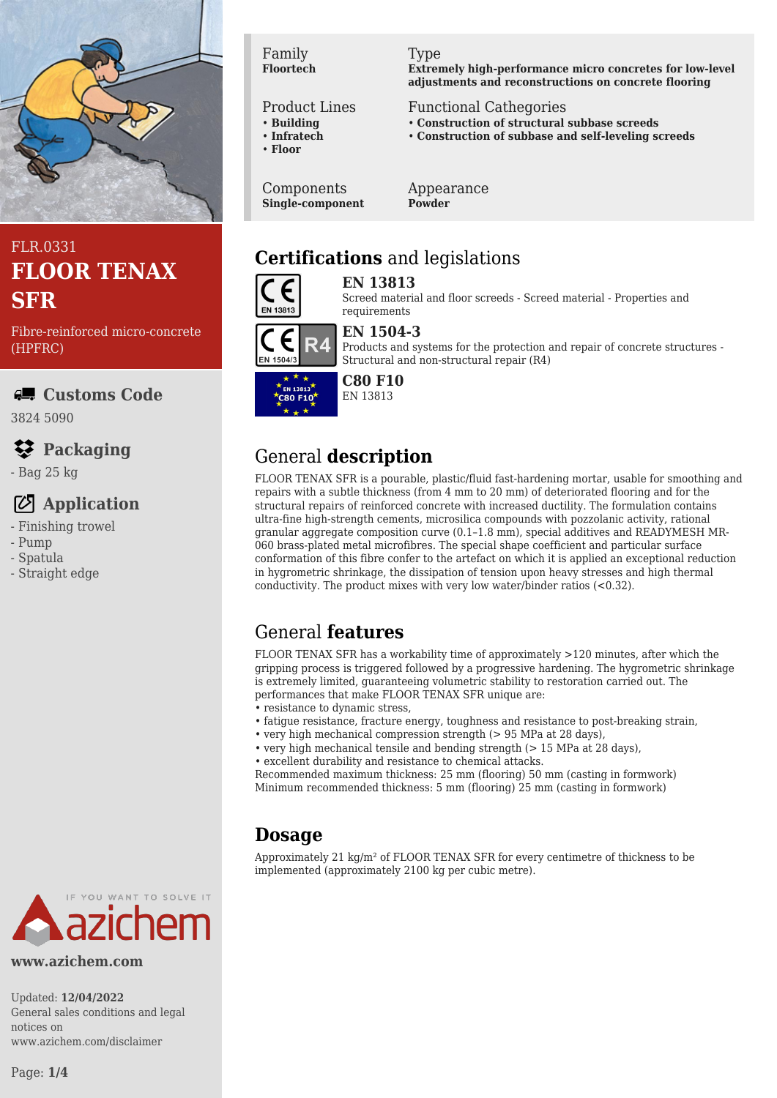

# FLR.0331 **FLOOR TENAX SFR**

Fibre-reinforced micro-concrete (HPFRC)

### **Customs Code**

3824 5090

# **Packaging**

- Bag 25 kg

### **Application**

- Finishing trowel
- Pump
- Spatula
- Straight edge

#### Family **Floortech**

#### Product Lines

- **Building**
- **Infratech**
- **Floor**

Components **Single-component**

#### Type

**Extremely high-performance micro concretes for low-level adjustments and reconstructions on concrete flooring**

#### Functional Cathegories

- **Construction of structural subbase screeds**
- **Construction of subbase and self-leveling screeds**

Appearance **Powder**

# **Certifications** and legislations



EN 1504/3

**EN 13813** Screed material and floor screeds - Screed material - Properties and

### **EN 1504-3**

requirements

Products and systems for the protection and repair of concrete structures - Structural and non-structural repair (R4)



# **C80 F10**

EN 13813

# General **description**

FLOOR TENAX SFR is a pourable, plastic/fluid fast-hardening mortar, usable for smoothing and repairs with a subtle thickness (from 4 mm to 20 mm) of deteriorated flooring and for the structural repairs of reinforced concrete with increased ductility. The formulation contains ultra-fine high-strength cements, microsilica compounds with pozzolanic activity, rational granular aggregate composition curve (0.1–1.8 mm), special additives and READYMESH MR-060 brass-plated metal microfibres. The special shape coefficient and particular surface conformation of this fibre confer to the artefact on which it is applied an exceptional reduction in hygrometric shrinkage, the dissipation of tension upon heavy stresses and high thermal conductivity. The product mixes with very low water/binder ratios (<0.32).

# General **features**

FLOOR TENAX SFR has a workability time of approximately >120 minutes, after which the gripping process is triggered followed by a progressive hardening. The hygrometric shrinkage is extremely limited, guaranteeing volumetric stability to restoration carried out. The performances that make FLOOR TENAX SFR unique are:

- resistance to dynamic stress,
- fatigue resistance, fracture energy, toughness and resistance to post-breaking strain,
- very high mechanical compression strength (> 95 MPa at 28 days),
- very high mechanical tensile and bending strength (> 15 MPa at 28 days), • excellent durability and resistance to chemical attacks.

Recommended maximum thickness: 25 mm (flooring) 50 mm (casting in formwork) Minimum recommended thickness: 5 mm (flooring) 25 mm (casting in formwork)

### **Dosage**

Approximately 21  $\text{kg/m}^2$  of FLOOR TENAX SFR for every centimetre of thickness to be implemented (approximately 2100 kg per cubic metre).



#### **www.azichem.com**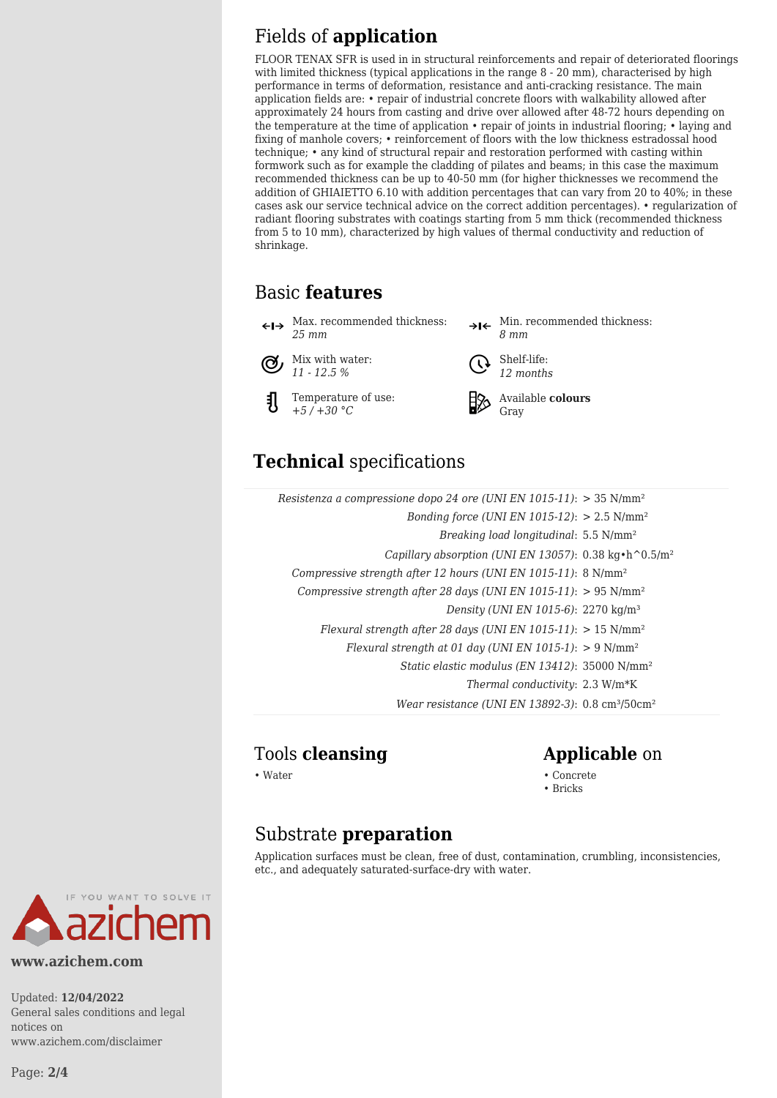# Fields of **application**

FLOOR TENAX SFR is used in in structural reinforcements and repair of deteriorated floorings with limited thickness (typical applications in the range  $8 - 20$  mm), characterised by high performance in terms of deformation, resistance and anti-cracking resistance. The main application fields are: • repair of industrial concrete floors with walkability allowed after approximately 24 hours from casting and drive over allowed after 48-72 hours depending on the temperature at the time of application • repair of joints in industrial flooring; • laying and fixing of manhole covers; • reinforcement of floors with the low thickness estradossal hood technique; • any kind of structural repair and restoration performed with casting within formwork such as for example the cladding of pilates and beams; in this case the maximum recommended thickness can be up to 40-50 mm (for higher thicknesses we recommend the addition of GHIAIETTO 6.10 with addition percentages that can vary from 20 to 40%; in these cases ask our service technical advice on the correct addition percentages). • regularization of radiant flooring substrates with coatings starting from 5 mm thick (recommended thickness from 5 to 10 mm), characterized by high values of thermal conductivity and reduction of shrinkage.

# Basic **features**

Max. recommended thickness: *25 mm*

Mix with water: (Ϭ៸ *11 - 12.5 %*

케

Temperature of use: *+5 / +30 °C*





*12 months*



Available **colours** Gray

# **Technical** specifications

| Resistenza a compressione dopo 24 ore (UNI EN 1015-11): $>$ 35 N/mm <sup>2</sup> |  |
|----------------------------------------------------------------------------------|--|
| Bonding force (UNI EN 1015-12): $> 2.5$ N/mm <sup>2</sup>                        |  |
| Breaking load longitudinal: 5.5 N/mm <sup>2</sup>                                |  |
| Capillary absorption (UNI EN 13057): 0.38 kg·h^0.5/m <sup>2</sup>                |  |
| Compressive strength after 12 hours (UNI EN 1015-11): 8 N/mm <sup>2</sup>        |  |
| Compressive strength after 28 days (UNI EN 1015-11): $> 95$ N/mm <sup>2</sup>    |  |
| Density (UNI EN 1015-6): 2270 kg/m <sup>3</sup>                                  |  |
| Flexural strength after 28 days (UNI EN 1015-11): $> 15$ N/mm <sup>2</sup>       |  |
| Flexural strength at 01 day (UNI EN 1015-1): $> 9$ N/mm <sup>2</sup>             |  |
| Static elastic modulus (EN 13412): 35000 N/mm <sup>2</sup>                       |  |
| Thermal conductivity: 2.3 W/m*K                                                  |  |
| Wear resistance (UNI EN 13892-3): $0.8 \text{ cm}^3$ /50cm <sup>2</sup>          |  |

### Tools **cleansing Applicable** on

• Water • Concrete • Concrete • Concrete • Concrete • Concrete • Concrete • Concrete • Concrete • Concrete • Concrete • Concrete • Concrete • Concrete • Concrete • Concrete • Concrete • Concrete • Concrete • Concrete • Con

• Bricks

### Substrate **preparation**

Application surfaces must be clean, free of dust, contamination, crumbling, inconsistencies, etc., and adequately saturated-surface-dry with water.



#### **www.azichem.com**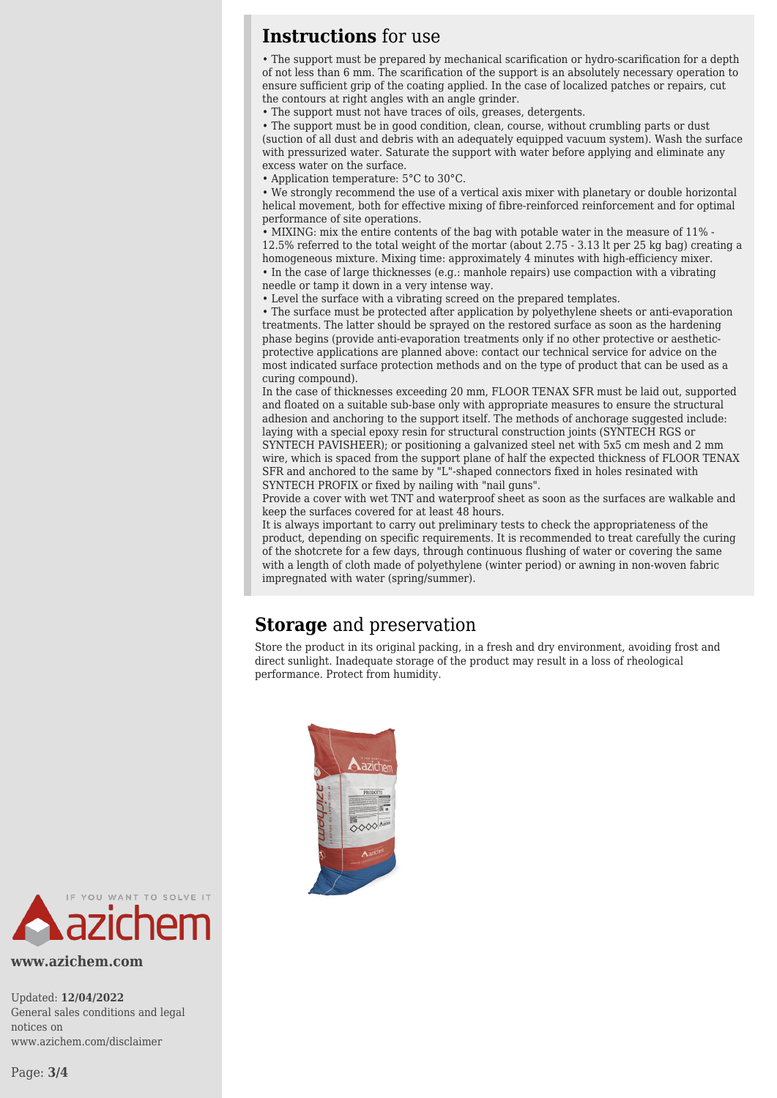### **Instructions** for use

• The support must be prepared by mechanical scarification or hydro-scarification for a depth of not less than 6 mm. The scarification of the support is an absolutely necessary operation to ensure sufficient grip of the coating applied. In the case of localized patches or repairs, cut the contours at right angles with an angle grinder.

• The support must not have traces of oils, greases, detergents.

• The support must be in good condition, clean, course, without crumbling parts or dust (suction of all dust and debris with an adequately equipped vacuum system). Wash the surface with pressurized water. Saturate the support with water before applying and eliminate any excess water on the surface.

• Application temperature: 5°C to 30°C.

• We strongly recommend the use of a vertical axis mixer with planetary or double horizontal helical movement, both for effective mixing of fibre-reinforced reinforcement and for optimal performance of site operations.

• MIXING: mix the entire contents of the bag with potable water in the measure of 11% - 12.5% referred to the total weight of the mortar (about 2.75 - 3.13 lt per 25 kg bag) creating a homogeneous mixture. Mixing time: approximately 4 minutes with high-efficiency mixer. • In the case of large thicknesses (e.g.: manhole repairs) use compaction with a vibrating

needle or tamp it down in a very intense way. • Level the surface with a vibrating screed on the prepared templates.

• The surface must be protected after application by polyethylene sheets or anti-evaporation treatments. The latter should be sprayed on the restored surface as soon as the hardening phase begins (provide anti-evaporation treatments only if no other protective or aestheticprotective applications are planned above: contact our technical service for advice on the most indicated surface protection methods and on the type of product that can be used as a curing compound).

In the case of thicknesses exceeding 20 mm, FLOOR TENAX SFR must be laid out, supported and floated on a suitable sub-base only with appropriate measures to ensure the structural adhesion and anchoring to the support itself. The methods of anchorage suggested include: laying with a special epoxy resin for structural construction joints (SYNTECH RGS or

SYNTECH PAVISHEER); or positioning a galvanized steel net with 5x5 cm mesh and 2 mm wire, which is spaced from the support plane of half the expected thickness of FLOOR TENAX SFR and anchored to the same by "L"-shaped connectors fixed in holes resinated with SYNTECH PROFIX or fixed by nailing with "nail guns".

Provide a cover with wet TNT and waterproof sheet as soon as the surfaces are walkable and keep the surfaces covered for at least 48 hours.

It is always important to carry out preliminary tests to check the appropriateness of the product, depending on specific requirements. It is recommended to treat carefully the curing of the shotcrete for a few days, through continuous flushing of water or covering the same with a length of cloth made of polyethylene (winter period) or awning in non-woven fabric impregnated with water (spring/summer).

### **Storage** and preservation

Store the product in its original packing, in a fresh and dry environment, avoiding frost and direct sunlight. Inadequate storage of the product may result in a loss of rheological performance. Protect from humidity.





**www.azichem.com**